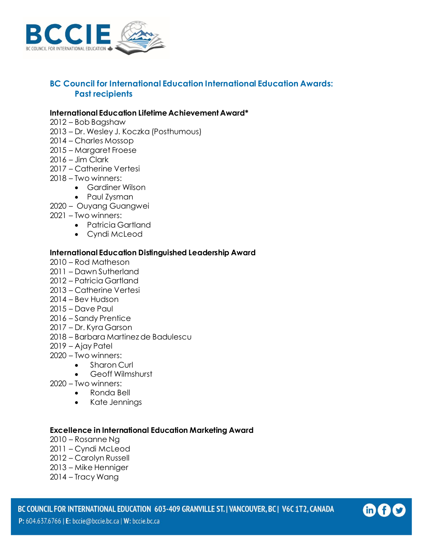

# **BC Council for International Education International Education Awards: Past recipients**

#### **International Education Lifetime Achievement Award\***

- Bob Bagshaw
- Dr. Wesley J. Koczka (Posthumous)
- Charles Mossop
- Margaret Froese
- Jim Clark
- Catherine Vertesi
- Two winners:
	- Gardiner Wilson
	- Paul Zysman
- Ouyang Guangwei
- Two winners:
	- Patricia Gartland
		- Cyndi McLeod

#### **International Education Distinguished Leadership Award**

- Rod Matheson
- Dawn Sutherland
- Patricia Gartland
- Catherine Vertesi
- Bev Hudson
- Dave Paul
- Sandy Prentice
- Dr. Kyra Garson
- Barbara Martinez de Badulescu
- Ajay Patel
- Two winners:
	- Sharon Curl
		- Geoff Wilmshurst
- Two winners:
	- Ronda Bell
	- Kate Jennings

#### **Excellence in International Education Marketing Award**

- Rosanne Ng
- Cyndi McLeod
- Carolyn Russell
- Mike Henniger
- Tracy Wang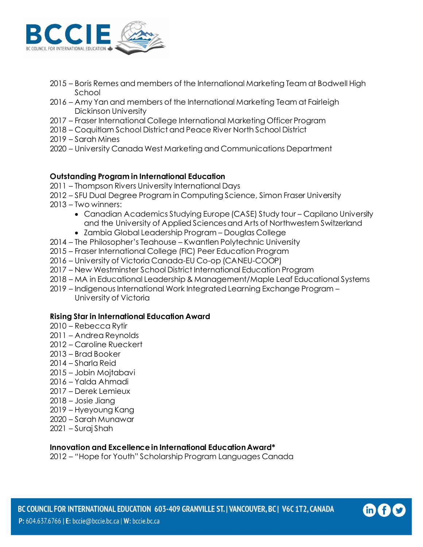

- Boris Remes and members of the International Marketing Team at Bodwell High School
- Amy Yan and members of the International Marketing Team at Fairleigh Dickinson University
- Fraser International College International Marketing Officer Program
- Coquitlam School District and Peace River North School District
- Sarah Mines
- University Canada West Marketing and Communications Department

# **Outstanding Program in International Education**

- Thompson Rivers University International Days
- SFU Dual Degree Program in Computing Science, Simon Fraser University
- Two winners:
	- Canadian Academics Studying Europe (CASE) Study tour Capilano University and the University of Applied Sciences and Arts of Northwestern Switzerland
	- Zambia Global Leadership Program Douglas College
- The Philosopher's Teahouse Kwantlen Polytechnic University
- Fraser International College (FIC) Peer Education Program
- University of Victoria Canada-EU Co-op (CANEU-COOP)
- New Westminster School District International Education Program
- MA in Educational Leadership & Management/Maple Leaf Educational Systems
- Indigenous International Work Integrated Learning Exchange Program University of Victoria

#### **Rising Star in International Education Award**

- Rebecca Rytir
- Andrea Reynolds
- Caroline Rueckert
- Brad Booker
- Sharla Reid
- Jobin Mojtabavi
- Yalda Ahmadi
- Derek Lemieux
- Josie Jiang
- Hyeyoung Kang
- Sarah Munawar
- Suraj Shah

#### **Innovation and Excellence in International Education Award\***

– "Hope for Youth" Scholarship Program Languages Canada